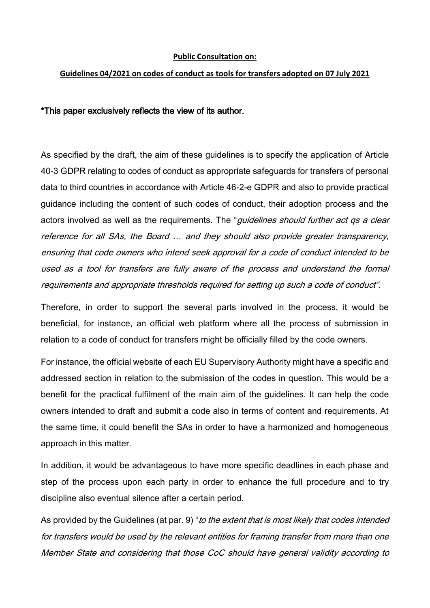## **Public Consultation on:**

## **Guidelines 04/2021 on codes of conduct as tools for transfers adopted on 07 July 2021**

## \*This paper exclusively reflects the view of its author.

As specified by the draft, the aim of these guidelines is to specify the application of Article 40-3 GDPR relating to codes of conduct as appropriate safeguards for transfers of personal data to third countries in accordance with Article 46-2-e GDPR and also to provide practical guidance including the content of such codes of conduct, their adoption process and the actors involved as well as the requirements. The "*guidelines should further act qs a clear* reference for all SAs, the Board … and they should also provide greater transparency, ensuring that code owners who intend seek approval for a code of conduct intended to be used as a tool for transfers are fully aware of the process and understand the formal requirements and appropriate thresholds required for setting up such a code of conduct".

Therefore, in order to support the several parts involved in the process, it would be beneficial, for instance, an official web platform where all the process of submission in relation to a code of conduct for transfers might be officially filled by the code owners.

For instance, the official website of each EU Supervisory Authority might have a specific and addressed section in relation to the submission of the codes in question. This would be a benefit for the practical fulfilment of the main aim of the guidelines. It can help the code owners intended to draft and submit a code also in terms of content and requirements. At the same time, it could benefit the SAs in order to have a harmonized and homogeneous approach in this matter.

In addition, it would be advantageous to have more specific deadlines in each phase and step of the process upon each party in order to enhance the full procedure and to try discipline also eventual silence after a certain period.

As provided by the Guidelines (at par. 9) "to the extent that is most likely that codes intended for transfers would be used by the relevant entities for framing transfer from more than one Member State and considering that those CoC should have general validity according to